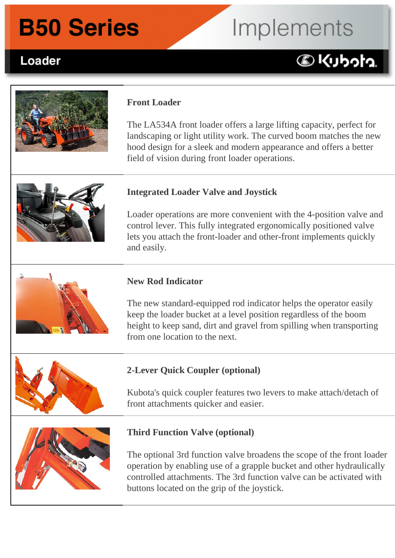### **B50 Series**

# Implements

#### Loader **B50 Front Loader Implements:**

### **DKUbota**



#### **Front Loader**

The LA534A front loader offers a large lifting capacity, perfect for landscaping or light utility work. The curved boom matches the new hood design for a sleek and modern appearance and offers a better field of vision during front loader operations.



#### **Integrated Loader Valve and Joystick**

Loader operations are more convenient with the 4-position valve and control lever. This fully integrated ergonomically positioned valve lets you attach the front-loader and other-front implements quickly and easily.

#### **New Rod Indicator**

The new standard-equipped rod indicator helps the operator easily keep the loader bucket at a level position regardless of the boom height to keep sand, dirt and gravel from spilling when transporting from one location to the next.

#### **2-Lever Quick Coupler (optional)**

Kubota's quick coupler features two levers to make attach/detach of front attachments quicker and easier.



#### **Third Function Valve (optional)**

The optional 3rd function valve broadens the scope of the front loader operation by enabling use of a grapple bucket and other hydraulically controlled attachments. The 3rd function valve can be activated with buttons located on the grip of the joystick.